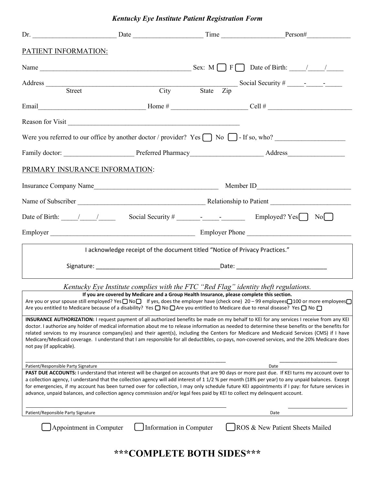# *Kentucky Eye Institute Patient Registration Form*

| PATIENT INFORMATION:                                                                                                                                                                                                                                                                                                                                                                                                                                                                                                                                                                                                                                                                                                                                                                                                                                                                                                                                                                                                                                                                                        |                                                                                                                            |  |                                                                                                                                                                                                                                                                                                                                                                                                                                                               |
|-------------------------------------------------------------------------------------------------------------------------------------------------------------------------------------------------------------------------------------------------------------------------------------------------------------------------------------------------------------------------------------------------------------------------------------------------------------------------------------------------------------------------------------------------------------------------------------------------------------------------------------------------------------------------------------------------------------------------------------------------------------------------------------------------------------------------------------------------------------------------------------------------------------------------------------------------------------------------------------------------------------------------------------------------------------------------------------------------------------|----------------------------------------------------------------------------------------------------------------------------|--|---------------------------------------------------------------------------------------------------------------------------------------------------------------------------------------------------------------------------------------------------------------------------------------------------------------------------------------------------------------------------------------------------------------------------------------------------------------|
|                                                                                                                                                                                                                                                                                                                                                                                                                                                                                                                                                                                                                                                                                                                                                                                                                                                                                                                                                                                                                                                                                                             |                                                                                                                            |  |                                                                                                                                                                                                                                                                                                                                                                                                                                                               |
| Address Street                                                                                                                                                                                                                                                                                                                                                                                                                                                                                                                                                                                                                                                                                                                                                                                                                                                                                                                                                                                                                                                                                              |                                                                                                                            |  |                                                                                                                                                                                                                                                                                                                                                                                                                                                               |
|                                                                                                                                                                                                                                                                                                                                                                                                                                                                                                                                                                                                                                                                                                                                                                                                                                                                                                                                                                                                                                                                                                             |                                                                                                                            |  |                                                                                                                                                                                                                                                                                                                                                                                                                                                               |
|                                                                                                                                                                                                                                                                                                                                                                                                                                                                                                                                                                                                                                                                                                                                                                                                                                                                                                                                                                                                                                                                                                             | Reason for Visit                                                                                                           |  |                                                                                                                                                                                                                                                                                                                                                                                                                                                               |
|                                                                                                                                                                                                                                                                                                                                                                                                                                                                                                                                                                                                                                                                                                                                                                                                                                                                                                                                                                                                                                                                                                             |                                                                                                                            |  | Were you referred to our office by another doctor / provider? Yes $\Box$ No $\Box$ - If so, who?                                                                                                                                                                                                                                                                                                                                                              |
|                                                                                                                                                                                                                                                                                                                                                                                                                                                                                                                                                                                                                                                                                                                                                                                                                                                                                                                                                                                                                                                                                                             |                                                                                                                            |  |                                                                                                                                                                                                                                                                                                                                                                                                                                                               |
| PRIMARY INSURANCE INFORMATION:                                                                                                                                                                                                                                                                                                                                                                                                                                                                                                                                                                                                                                                                                                                                                                                                                                                                                                                                                                                                                                                                              |                                                                                                                            |  |                                                                                                                                                                                                                                                                                                                                                                                                                                                               |
|                                                                                                                                                                                                                                                                                                                                                                                                                                                                                                                                                                                                                                                                                                                                                                                                                                                                                                                                                                                                                                                                                                             |                                                                                                                            |  |                                                                                                                                                                                                                                                                                                                                                                                                                                                               |
|                                                                                                                                                                                                                                                                                                                                                                                                                                                                                                                                                                                                                                                                                                                                                                                                                                                                                                                                                                                                                                                                                                             |                                                                                                                            |  |                                                                                                                                                                                                                                                                                                                                                                                                                                                               |
|                                                                                                                                                                                                                                                                                                                                                                                                                                                                                                                                                                                                                                                                                                                                                                                                                                                                                                                                                                                                                                                                                                             |                                                                                                                            |  |                                                                                                                                                                                                                                                                                                                                                                                                                                                               |
|                                                                                                                                                                                                                                                                                                                                                                                                                                                                                                                                                                                                                                                                                                                                                                                                                                                                                                                                                                                                                                                                                                             |                                                                                                                            |  |                                                                                                                                                                                                                                                                                                                                                                                                                                                               |
|                                                                                                                                                                                                                                                                                                                                                                                                                                                                                                                                                                                                                                                                                                                                                                                                                                                                                                                                                                                                                                                                                                             | I acknowledge receipt of the document titled "Notice of Privacy Practices."                                                |  |                                                                                                                                                                                                                                                                                                                                                                                                                                                               |
|                                                                                                                                                                                                                                                                                                                                                                                                                                                                                                                                                                                                                                                                                                                                                                                                                                                                                                                                                                                                                                                                                                             |                                                                                                                            |  |                                                                                                                                                                                                                                                                                                                                                                                                                                                               |
| Kentucky Eye Institute complies with the FTC "Red Flag" identity theft regulations.<br>If you are covered by Medicare and a Group Health Insurance, please complete this section.<br>Are you or your spouse still employed? Yes O No D If yes, does the employer have (check one) 20 – 99 employees 100 or more employees O<br>Are you entitled to Medicare because of a disability? Yes $\Box$ No $\Box$ Are you entitled to Medicare due to renal disease? Yes $\Box$ No $\Box$<br>INSURANCE AUTHORIZATION: I request payment of all authorized benefits be made on my behalf to KEI for any services I receive from any KEI<br>doctor. I authorize any holder of medical information about me to release information as needed to determine these benefits or the benefits for<br>related services to my insurance company(ies) and their agent(s), including the Centers for Medicare and Medicaid Services (CMS) if I have<br>Medicare/Medicaid coverage. I understand that I am responsible for all deductibles, co-pays, non-covered services, and the 20% Medicare does<br>not pay (if applicable). |                                                                                                                            |  |                                                                                                                                                                                                                                                                                                                                                                                                                                                               |
| Patient/Responsible Party Signature                                                                                                                                                                                                                                                                                                                                                                                                                                                                                                                                                                                                                                                                                                                                                                                                                                                                                                                                                                                                                                                                         | advance, unpaid balances, and collection agency commission and/or legal fees paid by KEI to collect my delinquent account. |  | Date<br>PAST DUE ACCOUNTS: I understand that interest will be charged on accounts that are 90 days or more past due. If KEI turns my account over to<br>a collection agency, I understand that the collection agency will add interest of 1 1/2 % per month (18% per year) to any unpaid balances. Except<br>for emergencies, if my account has been turned over for collection, I may only schedule future KEI appointments if I pay: for future services in |
| Patient/Reponsible Party Signature                                                                                                                                                                                                                                                                                                                                                                                                                                                                                                                                                                                                                                                                                                                                                                                                                                                                                                                                                                                                                                                                          |                                                                                                                            |  | Date                                                                                                                                                                                                                                                                                                                                                                                                                                                          |
| Appointment in Computer                                                                                                                                                                                                                                                                                                                                                                                                                                                                                                                                                                                                                                                                                                                                                                                                                                                                                                                                                                                                                                                                                     | Information in Computer                                                                                                    |  | ROS & New Patient Sheets Mailed                                                                                                                                                                                                                                                                                                                                                                                                                               |

**\*\*\*COMPLETE BOTH SIDES\*\*\***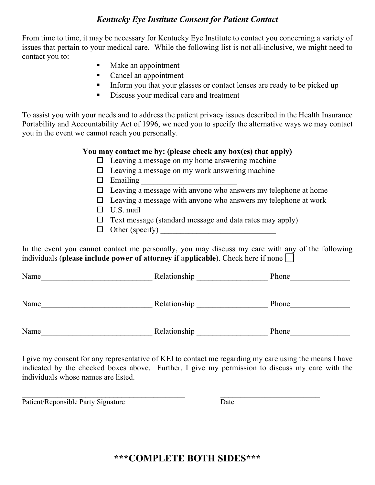## *Kentucky Eye Institute Consent for Patient Contact*

From time to time, it may be necessary for Kentucky Eye Institute to contact you concerning a variety of issues that pertain to your medical care. While the following list is not all-inclusive, we might need to contact you to:

- Make an appointment
- Cancel an appointment
- Inform you that your glasses or contact lenses are ready to be picked up
- Discuss your medical care and treatment

To assist you with your needs and to address the patient privacy issues described in the Health Insurance Portability and Accountability Act of 1996, we need you to specify the alternative ways we may contact you in the event we cannot reach you personally.

## **You may contact me by: (please check any box(es) that apply)**

- $\Box$  Leaving a message on my home answering machine
- $\Box$  Leaving a message on my work answering machine
- $\Box$  Emailing
- $\Box$  Leaving a message with anyone who answers my telephone at home
- $\Box$  Leaving a message with anyone who answers my telephone at work
- $\Box$  U.S. mail
- $\Box$  Text message (standard message and data rates may apply)
- $\Box$  Other (specify)

In the event you cannot contact me personally, you may discuss my care with any of the following individuals (**please include power of attorney if applicable**). Check here if none

Name Relationship Phone

Name\_\_\_\_\_\_\_\_\_\_\_\_\_\_\_\_\_\_\_\_\_\_\_\_\_\_\_\_ Relationship \_\_\_\_\_\_\_\_\_\_\_\_\_\_\_\_\_\_ Phone\_\_\_\_\_\_\_\_\_\_\_\_\_\_\_

Name\_\_\_\_\_\_\_\_\_\_\_\_\_\_\_\_\_\_\_\_\_\_\_\_\_\_\_\_ Relationship \_\_\_\_\_\_\_\_\_\_\_\_\_\_\_\_\_\_ Phone\_\_\_\_\_\_\_\_\_\_\_\_\_\_\_

I give my consent for any representative of KEI to contact me regarding my care using the means I have indicated by the checked boxes above. Further, I give my permission to discuss my care with the individuals whose names are listed.

 $\mathcal{L}_\text{max}$  , and the contract of the contract of the contract of the contract of the contract of the contract of the contract of the contract of the contract of the contract of the contract of the contract of the contr

Patient/Reponsible Party Signature Date

**\*\*\*COMPLETE BOTH SIDES\*\*\***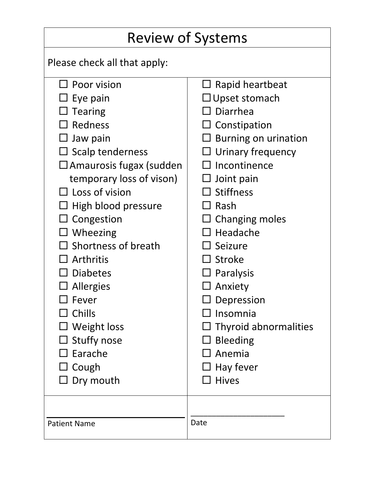| <b>Review of Systems</b>          |                               |  |
|-----------------------------------|-------------------------------|--|
| Please check all that apply:      |                               |  |
| $\Box$ Poor vision                | $\Box$ Rapid heartbeat        |  |
| Eye pain                          | $\Box$ Upset stomach          |  |
| <b>Tearing</b>                    | $\Box$ Diarrhea               |  |
| Redness                           | $\Box$ Constipation           |  |
| Jaw pain                          | Burning on urination          |  |
| $\Box$ Scalp tenderness           | $\sqsupset$ Urinary frequency |  |
| $\square$ Amaurosis fugax (sudden | Incontinence                  |  |
| temporary loss of vison)          | $\Box$ Joint pain             |  |
| $\Box$ Loss of vision             | $\Box$ Stiffness              |  |
| $\Box$ High blood pressure        | $\sqsupset$ Rash              |  |
| Congestion                        | $\Box$ Changing moles         |  |
| $\Box$ Wheezing                   | $\Box$ Headache               |  |
| $\Box$ Shortness of breath        | $\square$ Seizure             |  |
| Arthritis                         | $\Box$ Stroke                 |  |
| $\Box$ Diabetes                   | $\Box$ Paralysis              |  |
| $\Box$ Allergies                  | $\Box$ Anxiety                |  |
| $\Box$ Fever                      | $\Box$ Depression             |  |
| $\sqsupset$ Chills                | $\square$ Insomnia            |  |
| $\square$ Weight loss             | $\Box$ Thyroid abnormalities  |  |
| <b>Stuffy nose</b>                | <b>Bleeding</b>               |  |
| Earache                           | $\Box$ Anemia                 |  |
| $\Box$ Cough                      | $\Box$ Hay fever              |  |
| Dry mouth                         | $\Box$ Hives                  |  |
|                                   |                               |  |
| <b>Patient Name</b>               | Date                          |  |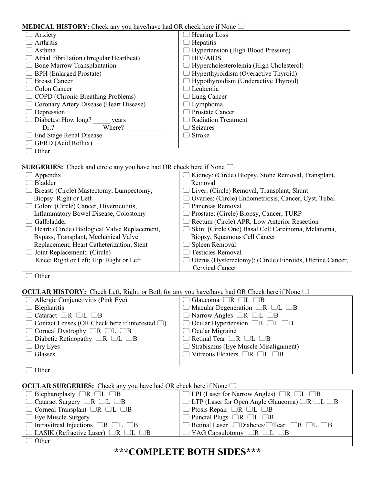### **MEDICAL HISTORY:** Check any you have/have had OR check here if None

| INTERFECTED THIS FORE. CHUCK ANY YOU HAVE HAVE HAVE ON CHUCK HULL IT FORE |                                                |  |
|---------------------------------------------------------------------------|------------------------------------------------|--|
| Anxiety                                                                   | <b>Hearing Loss</b>                            |  |
| Arthritis                                                                 | Hepatitis                                      |  |
| Asthma                                                                    | Hypertension (High Blood Pressure)             |  |
| Atrial Fibrillation (Irregular Heartbeat)                                 | <b>HIV/AIDS</b>                                |  |
| <b>Bone Marrow Transplantation</b>                                        | $\Box$ Hypercholesterolemia (High Cholesterol) |  |
| <b>BPH</b> (Enlarged Prostate)                                            | $\Box$ Hyperthyroidism (Overactive Thyroid)    |  |
| <b>Breast Cancer</b>                                                      | Hypothyroidism (Underactive Thyroid)           |  |
| Colon Cancer                                                              | Leukemia                                       |  |
| $\Box$ COPD (Chronic Breathing Problems)                                  | $\Box$ Lung Cancer                             |  |
| Coronary Artery Disease (Heart Disease)                                   | $\Box$ Lymphoma                                |  |
| Depression                                                                | Prostate Cancer                                |  |
| Diabetes: How long?<br>years                                              | <b>Radiation Treatment</b>                     |  |
| Where?<br>Dr.?                                                            | Seizures                                       |  |
| <b>End Stage Renal Disease</b>                                            | Stroke                                         |  |
| GERD (Acid Reflux)                                                        |                                                |  |
| Other                                                                     |                                                |  |

**SURGERIES:** Check and circle any you have had OR check here if None  $\Box$ 

| Appendix                                             | Kidney: (Circle) Biopsy, Stone Removal, Transplant,<br>┘     |
|------------------------------------------------------|--------------------------------------------------------------|
| Bladder                                              | Removal                                                      |
| $\Box$ Breast: (Circle) Mastectomy, Lumpectomy,      | $\Box$ Liver: (Circle) Removal, Transplant, Shunt            |
| Biopsy: Right or Left                                | □ Ovaries: (Circle) Endometriosis, Cancer, Cyst, Tubal       |
| $\Box$ Colon: (Circle) Cancer, Diverticulitis,       | Pancreas Removal                                             |
| <b>Inflammatory Bowel Disease, Colostomy</b>         | Prostate: (Circle) Biopsy, Cancer, TURP<br>$\Box$            |
| Gallbladder                                          | $\Box$ Rectum (Circle) APR, Low Anterior Resection           |
| $\Box$ Heart: (Circle) Biological Valve Replacement, | Skin: (Circle One) Basal Cell Carcinoma, Melanoma,<br>$\Box$ |
| Bypass, Transplant, Mechanical Valve                 | Biopsy, Squamous Cell Cancer                                 |
| Replacement, Heart Catheterization, Stent            | Spleen Removal                                               |
| $\Box$ Joint Replacement: (Circle)                   | <b>Testicles Removal</b>                                     |
| Knee: Right or Left; Hip: Right or Left              | □ Uterus (Hysterectomy): (Circle) Fibroids, Uterine Cancer,  |
|                                                      | Cervical Cancer                                              |
|                                                      |                                                              |

 $\Box$  Other

**OCULAR HISTORY:** Check Left, Right, or Both for any you have/have had OR Check here if None  $\Box$ 

| $\Box$ Allergic Conjunctivitis (Pink Eye)                   | $\Box$ Glaucoma $\Box$ R $\Box$ L $\Box$ B             |
|-------------------------------------------------------------|--------------------------------------------------------|
| $\Box$ Blepharitis                                          | $\Box$ Macular Degeneration $\Box R$ $\Box L$ $\Box B$ |
| $\Box$ Cataract $\Box$ R $\Box$ L $\Box$ B                  | $\Box$ Narrow Angles $\Box$ R $\Box$ L $\Box$ B        |
| $\Box$ Contact Lenses (OR Check here if interested $\Box$ ) | $\Box$ Ocular Hypertension $\Box R$ $\Box L$ $\Box B$  |
| $\Box$ Corneal Dystrophy $\Box$ R $\Box$ L $\Box$ B         | $\Box$ Ocular Migraine                                 |
| $\Box$ Diabetic Retinopathy $\Box$ R $\Box$ L $\Box$ B      | $\Box$ Retinal Tear $\Box$ R $\Box$ L $\Box$ B         |
| $\Box$ Dry Eyes                                             | $\Box$ Strabismus (Eye Muscle Misalignment)            |
| $\Box$ Glasses                                              | $\Box$ Vitreous Floaters $\Box$ R $\Box$ L $\Box$ B    |
|                                                             |                                                        |
| $\sim$ 1                                                    |                                                        |

 $\Box$  Other

| <b>OCULAR SURGERIES:</b> Check any you have had OR check here if None $\Box$ |                                                                              |  |
|------------------------------------------------------------------------------|------------------------------------------------------------------------------|--|
| $\Box$ Blepharoplasty $\Box$ R $\Box$ L $\Box$ B                             | $\Box$ LPI (Laser for Narrow Angles) $\Box$ R $\Box$ L $\Box$ B              |  |
| $\Box$ Cataract Surgery $\Box$ R $\Box$ L $\Box$ B                           | $\Box$ LTP (Laser for Open Angle Glaucoma) $\Box$ R $\Box$ L $\Box$ B        |  |
| $\Box$ Corneal Transplant $\Box$ R $\Box$ L $\Box$ B                         | $\Box$ Ptosis Repair $\Box$ R $\Box$ L $\Box$ B                              |  |
| $\Box$ Eye Muscle Surgery                                                    | $\Box$ Punctal Plugs $\Box$ R $\Box$ L $\Box$ B                              |  |
| $\Box$ Intravitreal Injections $\Box R$ $\Box L$ $\Box B$                    | $\Box$ Retinal Laser $\Box$ Diabetes/ $\Box$ Tear $\Box$ R $\Box$ L $\Box$ B |  |
| $\Box$ LASIK (Refractive Laser) $\Box$ R $\Box$ L $\Box$ B                   | $\Box$ YAG Capsulotomy $\Box$ R $\Box$ L $\Box$ B                            |  |
| $\Box$ Other                                                                 |                                                                              |  |